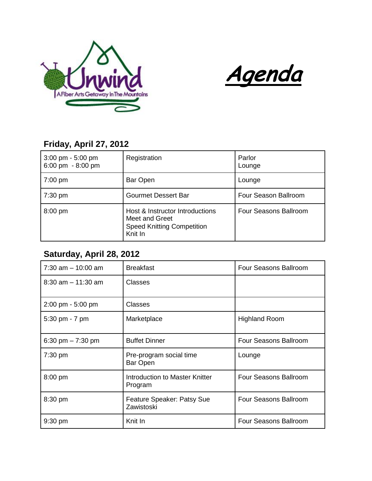



## **Friday, April 27, 2012**

| $3:00 \text{ pm} - 5:00 \text{ pm}$<br>6:00 pm $-8:00$ pm | Registration                                                                                      | Parlor<br>Lounge      |
|-----------------------------------------------------------|---------------------------------------------------------------------------------------------------|-----------------------|
| $7:00 \text{ pm}$                                         | Bar Open                                                                                          | Lounge                |
| $7:30$ pm                                                 | <b>Gourmet Dessert Bar</b>                                                                        | Four Season Ballroom  |
| $8:00$ pm                                                 | Host & Instructor Introductions<br>Meet and Greet<br><b>Speed Knitting Competition</b><br>Knit In | Four Seasons Ballroom |

## **Saturday, April 28, 2012**

| $7:30$ am $-10:00$ am | <b>Breakfast</b>                          | Four Seasons Ballroom |
|-----------------------|-------------------------------------------|-----------------------|
| $8:30$ am $-11:30$ am | Classes                                   |                       |
| 2:00 pm - 5:00 pm     | <b>Classes</b>                            |                       |
| 5:30 pm - 7 pm        | Marketplace                               | <b>Highland Room</b>  |
| 6:30 pm $- 7:30$ pm   | <b>Buffet Dinner</b>                      | Four Seasons Ballroom |
| 7:30 pm               | Pre-program social time<br>Bar Open       | Lounge                |
| $8:00$ pm             | Introduction to Master Knitter<br>Program | Four Seasons Ballroom |
| 8:30 pm               | Feature Speaker: Patsy Sue<br>Zawistoski  | Four Seasons Ballroom |
| $9:30$ pm             | Knit In                                   | Four Seasons Ballroom |